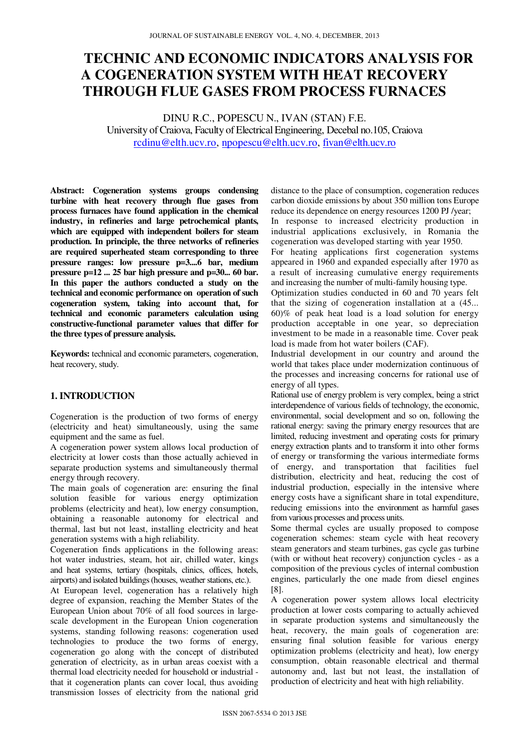# **TECHNIC AND ECONOMIC INDICATORS ANALYSIS FOR A COGENERATION SYSTEM WITH HEAT RECOVERY THROUGH FLUE GASES FROM PROCESS FURNACES**

DINU R.C., POPESCU N., IVAN (STAN) F.E. University of Craiova, Faculty of Electrical Engineering, Decebal no.105, Craiova rcdinu@elth.ucv.ro, npopescu@elth.ucv.ro, fivan@elth.ucv.ro

**Abstract: Cogeneration systems groups condensing turbine with heat recovery through flue gases from process furnaces have found application in the chemical industry, in refineries and large petrochemical plants, which are equipped with independent boilers for steam production. In principle, the three networks of refineries are required superheated steam corresponding to three pressure ranges: low pressure p=3....6 bar, medium pressure p=12 ... 25 bar high pressure and p=30... 60 bar. In this paper the authors conducted a study on the technical and economic performance on operation of such cogeneration system, taking into account that, for technical and economic parameters calculation using constructive-functional parameter values that differ for the three types of pressure analysis.** 

**Keywords:** technical and economic parameters, cogeneration, heat recovery, study.

## **1. INTRODUCTION**

Cogeneration is the production of two forms of energy (electricity and heat) simultaneously, using the same equipment and the same as fuel.

A cogeneration power system allows local production of electricity at lower costs than those actually achieved in separate production systems and simultaneously thermal energy through recovery.

The main goals of cogeneration are: ensuring the final solution feasible for various energy optimization problems (electricity and heat), low energy consumption, obtaining a reasonable autonomy for electrical and thermal, last but not least, installing electricity and heat generation systems with a high reliability.

Cogeneration finds applications in the following areas: hot water industries, steam, hot air, chilled water, kings and heat systems, tertiary (hospitals, clinics, offices, hotels, airports) and isolated buildings (houses, weather stations, etc.).

At European level, cogeneration has a relatively high degree of expansion, reaching the Member States of the European Union about 70% of all food sources in largescale development in the European Union cogeneration systems, standing following reasons: cogeneration used technologies to produce the two forms of energy, cogeneration go along with the concept of distributed generation of electricity, as in urban areas coexist with a thermal load electricity needed for household or industrial that it cogeneration plants can cover local, thus avoiding transmission losses of electricity from the national grid

distance to the place of consumption, cogeneration reduces carbon dioxide emissions by about 350 million tons Europe reduce its dependence on energy resources 1200 PJ /year;

In response to increased electricity production in industrial applications exclusively, in Romania the cogeneration was developed starting with year 1950.

For heating applications first cogeneration systems appeared in 1960 and expanded especially after 1970 as a result of increasing cumulative energy requirements and increasing the number of multi-family housing type.

Optimization studies conducted in 60 and 70 years felt that the sizing of cogeneration installation at a (45... 60)% of peak heat load is a load solution for energy production acceptable in one year, so depreciation investment to be made in a reasonable time. Cover peak load is made from hot water boilers (CAF).

Industrial development in our country and around the world that takes place under modernization continuous of the processes and increasing concerns for rational use of energy of all types.

Rational use of energy problem is very complex, being a strict interdependence of various fields of technology, the economic, environmental, social development and so on, following the rational energy: saving the primary energy resources that are limited, reducing investment and operating costs for primary energy extraction plants and to transform it into other forms of energy or transforming the various intermediate forms of energy, and transportation that facilities fuel distribution, electricity and heat, reducing the cost of industrial production, especially in the intensive where energy costs have a significant share in total expenditure, reducing emissions into the environment as harmful gases from various processes and process units.

Some thermal cycles are usually proposed to compose cogeneration schemes: steam cycle with heat recovery steam generators and steam turbines, gas cycle gas turbine (with or without heat recovery) conjunction cycles - as a composition of the previous cycles of internal combustion engines, particularly the one made from diesel engines [8].

A cogeneration power system allows local electricity production at lower costs comparing to actually achieved in separate production systems and simultaneously the heat, recovery, the main goals of cogeneration are: ensuring final solution feasible for various energy optimization problems (electricity and heat), low energy consumption, obtain reasonable electrical and thermal autonomy and, last but not least, the installation of production of electricity and heat with high reliability.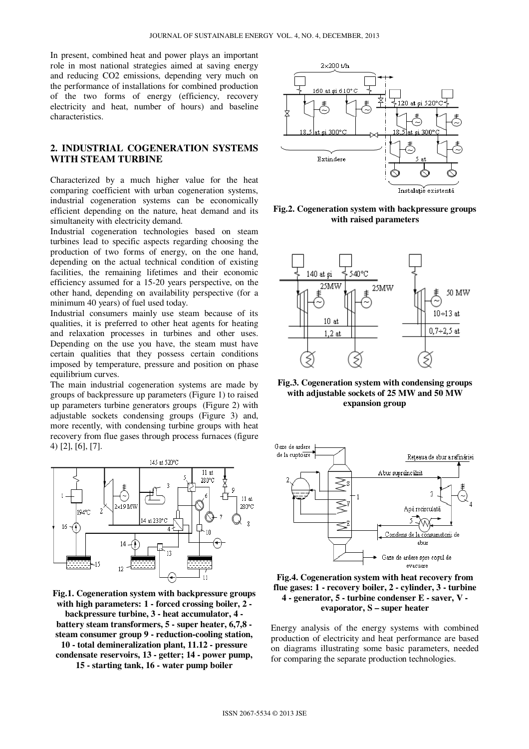In present, combined heat and power plays an important role in most national strategies aimed at saving energy and reducing CO2 emissions, depending very much on the performance of installations for combined production of the two forms of energy (efficiency, recovery electricity and heat, number of hours) and baseline characteristics.

### **2. INDUSTRIAL COGENERATION SYSTEMS WITH STEAM TURBINE**

Characterized by a much higher value for the heat comparing coefficient with urban cogeneration systems, industrial cogeneration systems can be economically efficient depending on the nature, heat demand and its simultaneity with electricity demand.

Industrial cogeneration technologies based on steam turbines lead to specific aspects regarding choosing the production of two forms of energy, on the one hand, depending on the actual technical condition of existing facilities, the remaining lifetimes and their economic efficiency assumed for a 15-20 years perspective, on the other hand, depending on availability perspective (for a minimum 40 years) of fuel used today.

Industrial consumers mainly use steam because of its qualities, it is preferred to other heat agents for heating and relaxation processes in turbines and other uses. Depending on the use you have, the steam must have certain qualities that they possess certain conditions imposed by temperature, pressure and position on phase equilibrium curves.

The main industrial cogeneration systems are made by groups of backpressure up parameters (Figure 1) to raised up parameters turbine generators groups (Figure 2) with adjustable sockets condensing groups (Figure 3) and, more recently, with condensing turbine groups with heat recovery from flue gases through process furnaces (figure 4) [2], [6], [7].



**Fig.1. Cogeneration system with backpressure groups with high parameters: 1 - forced crossing boiler, 2 -** 

**backpressure turbine, 3 - heat accumulator, 4 battery steam transformers, 5 - super heater, 6,7,8 steam consumer group 9 - reduction-cooling station, 10 - total demineralization plant, 11.12 - pressure condensate reservoirs, 13 - getter; 14 - power pump, 15 - starting tank, 16 - water pump boiler** 



**Fig.2. Cogeneration system with backpressure groups with raised parameters** 



**Fig.3. Cogeneration system with condensing groups with adjustable sockets of 25 MW and 50 MW expansion group** 



**Fig.4. Cogeneration system with heat recovery from flue gases: 1 - recovery boiler, 2 - cylinder, 3 - turbine 4 - generator, 5 - turbine condenser E - saver, V evaporator, S – super heater** 

Energy analysis of the energy systems with combined production of electricity and heat performance are based on diagrams illustrating some basic parameters, needed for comparing the separate production technologies.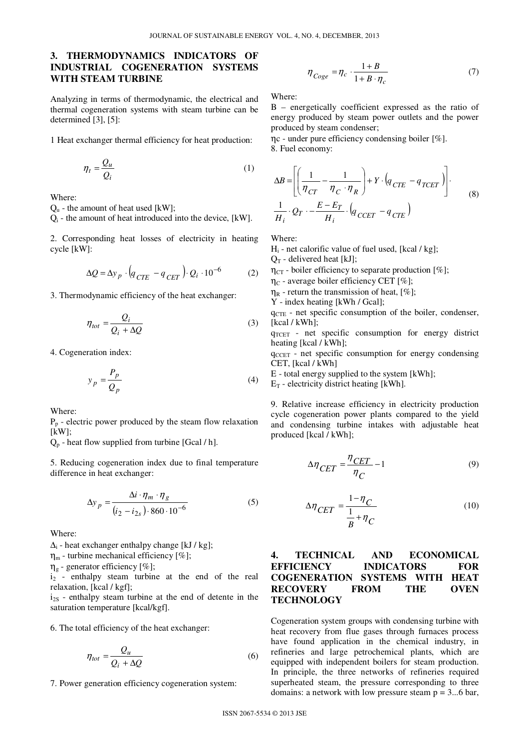## **3. THERMODYNAMICS INDICATORS OF INDUSTRIAL COGENERATION SYSTEMS WITH STEAM TURBINE**

Analyzing in terms of thermodynamic, the electrical and thermal cogeneration systems with steam turbine can be determined [3], [5]:

1 Heat exchanger thermal efficiency for heat production:

$$
\eta_t = \frac{Q_u}{Q_i} \tag{1}
$$

Where:

 $Q_u$  - the amount of heat used [kW];

Qi - the amount of heat introduced into the device, [kW].

2. Corresponding heat losses of electricity in heating cycle [kW]:

$$
\Delta Q = \Delta y_p \cdot \left( q_{CTE} - q_{CT} \right) \cdot Q_i \cdot 10^{-6} \tag{2}
$$

3. Thermodynamic efficiency of the heat exchanger:

$$
\eta_{tot} = \frac{Q_i}{Q_i + \Delta Q} \tag{3}
$$

4. Cogeneration index:

$$
y_p = \frac{P_p}{Q_p} \tag{4}
$$

Where:

 $P_p$  - electric power produced by the steam flow relaxation  $[kW]$ ;

 $Q_p$  - heat flow supplied from turbine [Gcal / h].

5. Reducing cogeneration index due to final temperature difference in heat exchanger:

$$
\Delta y_p = \frac{\Delta i \cdot \eta_m \cdot \eta_g}{(i_2 - i_{2s}) \cdot 860 \cdot 10^{-6}}
$$
 (5)

Where:

 $\Delta_i$  - heat exchanger enthalpy change [kJ / kg];

 $\eta_m$  - turbine mechanical efficiency [%];

 $\eta_{g}$  - generator efficiency [%];

 $i_2$  - enthalpy steam turbine at the end of the real relaxation, [kcal / kgf];

 $i_{2S}$  - enthalpy steam turbine at the end of detente in the saturation temperature [kcal/kgf].

6. The total efficiency of the heat exchanger:

$$
\eta_{tot} = \frac{Q_u}{Q_i + \Delta Q} \tag{6}
$$

7. Power generation efficiency cogeneration system:

$$
\eta_{Coge} = \eta_c \cdot \frac{1+B}{1+B \cdot \eta_c} \tag{7}
$$

Where:

B – energetically coefficient expressed as the ratio of energy produced by steam power outlets and the power produced by steam condenser;

ηc - under pure efficiency condensing boiler [%]. 8. Fuel economy:

$$
\Delta B = \left[ \left( \frac{1}{\eta_{CT}} - \frac{1}{\eta_C \cdot \eta_R} \right) + Y \cdot \left( q_{CTE} - q_{TCET} \right) \right].
$$
  

$$
\frac{1}{H_i} \cdot Q_T \cdot - \frac{E - E_T}{H_i} \cdot \left( q_{CGET} - q_{CTE} \right)
$$
 (8)

Where:

 $H<sub>i</sub>$  - net calorific value of fuel used, [kcal / kg];

 $Q_T$  - delivered heat [kJ];

 $\eta_{CT}$  - boiler efficiency to separate production [%];

 $\eta_C$  - average boiler efficiency CET [%];

 $\eta_R$  - return the transmission of heat, [%];

Y - index heating [kWh / Gcal];

 $q_{CTE}$  - net specific consumption of the boiler, condenser, [kcal / kWh];

q<sub>TCET</sub> - net specific consumption for energy district heating [kcal / kWh];

 $q_{CCH}$  - net specific consumption for energy condensing CET, [kcal / kWh]

E - total energy supplied to the system [kWh];

 $E_T$  - electricity district heating [kWh].

9. Relative increase efficiency in electricity production cycle cogeneration power plants compared to the yield and condensing turbine intakes with adjustable heat produced [kcal / kWh];

$$
\Delta \eta_{CET} = \frac{\eta_{CET}}{\eta_C} - 1 \tag{9}
$$

$$
\Delta \eta_{CET} = \frac{1 - \eta_C}{\frac{1}{B} + \eta_C} \tag{10}
$$

## **4. TECHNICAL AND ECONOMICAL EFFICIENCY INDICATORS FOR COGENERATION SYSTEMS WITH HEAT RECOVERY FROM THE OVEN TECHNOLOGY**

Cogeneration system groups with condensing turbine with heat recovery from flue gases through furnaces process have found application in the chemical industry, in refineries and large petrochemical plants, which are equipped with independent boilers for steam production. In principle, the three networks of refineries required superheated steam, the pressure corresponding to three domains: a network with low pressure steam  $p = 3...6$  bar,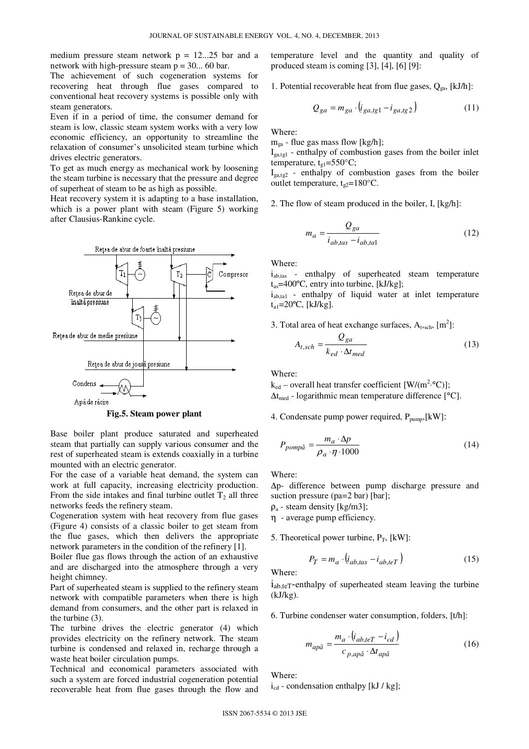medium pressure steam network  $p = 12...25$  bar and a network with high-pressure steam  $p = 30...$  60 bar.

The achievement of such cogeneration systems for recovering heat through flue gases compared to conventional heat recovery systems is possible only with steam generators.

Even if in a period of time, the consumer demand for steam is low, classic steam system works with a very low economic efficiency, an opportunity to streamline the relaxation of consumer's unsolicited steam turbine which drives electric generators.

To get as much energy as mechanical work by loosening the steam turbine is necessary that the pressure and degree of superheat of steam to be as high as possible.

Heat recovery system it is adapting to a base installation, which is a power plant with steam (Figure 5) working after Clausius-Rankine cycle.



**Fig.5. Steam power plant** 

Base boiler plant produce saturated and superheated steam that partially can supply various consumer and the rest of superheated steam is extends coaxially in a turbine mounted with an electric generator.

For the case of a variable heat demand, the system can work at full capacity, increasing electricity production. From the side intakes and final turbine outlet  $T_2$  all three networks feeds the refinery steam.

Cogeneration system with heat recovery from flue gases (Figure 4) consists of a classic boiler to get steam from the flue gases, which then delivers the appropriate network parameters in the condition of the refinery [1].

Boiler flue gas flows through the action of an exhaustive and are discharged into the atmosphere through a very height chimney.

Part of superheated steam is supplied to the refinery steam network with compatible parameters when there is high demand from consumers, and the other part is relaxed in the turbine (3).

The turbine drives the electric generator (4) which provides electricity on the refinery network. The steam turbine is condensed and relaxed in, recharge through a waste heat boiler circulation pumps.

Technical and economical parameters associated with such a system are forced industrial cogeneration potential recoverable heat from flue gases through the flow and

temperature level and the quantity and quality of produced steam is coming [3], [4], [6] [9]:

1. Potential recoverable heat from flue gases,  $Q_{ga}$ , [kJ/h]:

$$
Q_{ga} = m_{ga} \cdot (i_{ga,tg1} - i_{ga,tg2}) \tag{11}
$$

Where:

 $m_{ga}$  - flue gas mass flow [kg/h];

 $I<sub>ga,tgl</sub>$  - enthalpy of combustion gases from the boiler inlet temperature,  $t_{g1} = 550^{\circ}$ C;

 $I_{\text{gal,tg2}}$  - enthalpy of combustion gases from the boiler outlet temperature,  $t_{g2}=180^{\circ}$ C.

2. The flow of steam produced in the boiler, I, [kg/h]:

$$
m_a = \frac{Q_{ga}}{i_{ab,tas} - i_{ab, tal}}
$$
 (12)

Where:

i<sub>ab,tas</sub> - enthalpy of superheated steam temperature  $t_{as}$ =400°C, entry into turbine, [kJ/kg];

 $i_{\text{ab,tal}}$  - enthalpy of liquid water at inlet temperature  $t_{a1} = 20$ °C, [kJ/kg].

3. Total area of heat exchange surfaces,  $A_{t,sch}$ ,  $[m^2]$ :

$$
A_{t,sch} = \frac{Q_{ga}}{k_{ed} \cdot \Delta t_{med}}
$$
 (13)

Where:

 $k_{ed}$  – overall heat transfer coefficient [W/(m<sup>2</sup>.°C)];  $\Delta t_{\text{med}}$  - logarithmic mean temperature difference [°C].

4. Condensate pump power required, P<sub>pump</sub>,[kW]:

$$
P_{pomp\breve{a}} = \frac{m_a \cdot \Delta p}{\rho_a \cdot \eta \cdot 1000} \tag{14}
$$

Where:

∆p- difference between pump discharge pressure and suction pressure (pa=2 bar) [bar];

 $\rho_a$  - steam density [kg/m3];

η - average pump efficiency.

5. Theoretical power turbine,  $P_T$ , [kW]:

$$
P_T = m_a \cdot \left( i_{ab,tas} - i_{ab, teT} \right) \tag{15}
$$

Where:

 $i_{ab,teT}$ -enthalpy of superheated steam leaving the turbine (kJ/kg).

6. Turbine condenser water consumption, folders, [t/h]:

$$
m_{ap\breve{a}} = \frac{m_a \cdot (i_{ab,teT} - i_{cd})}{c_{p,ap\breve{a}} \cdot \Delta t_{ap\breve{a}}}
$$
(16)

Where:

 $i_{cd}$  - condensation enthalpy [kJ / kg];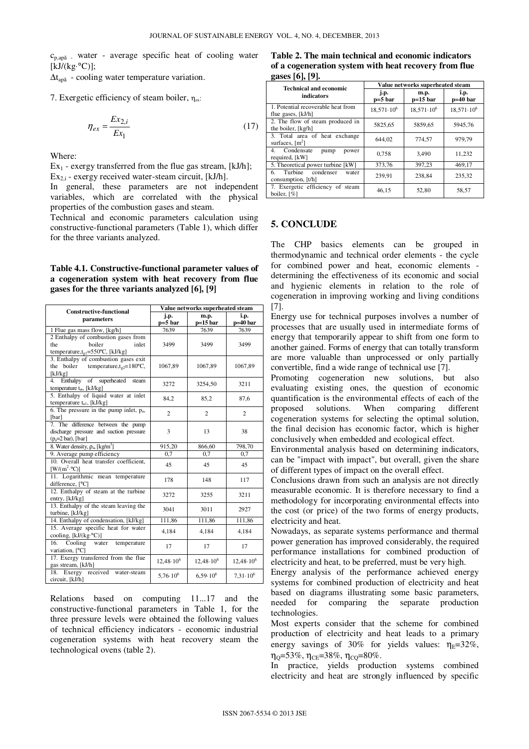$c_{p,ap\tilde{a}}$  - water - average specific heat of cooling water  $[kJ/(kg \cdot ^{\circ}C)]$ ;

 $\Delta t_{apă}$  - cooling water temperature variation.

7. Exergetic efficiency of steam boiler,  $\eta_{ex}$ :

$$
\eta_{ex} = \frac{Ex_{2,i}}{Ex_1} \tag{17}
$$

Where:

 $Ex_1$  - exergy transferred from the flue gas stream, [kJ/h];  $Ex_{2,i}$  - exergy received water-steam circuit, [kJ/h].

In general, these parameters are not independent variables, which are correlated with the physical properties of the combustion gases and steam.

Technical and economic parameters calculation using constructive-functional parameters (Table 1), which differ for the three variants analyzed.

#### **Table 4.1. Constructive-functional parameter values of a cogeneration system with heat recovery from flue gases for the three variants analyzed [6], [9]**

| <b>Constructive-functional</b><br>parameters                                                                   | Value networks superheated steam |                     |                     |
|----------------------------------------------------------------------------------------------------------------|----------------------------------|---------------------|---------------------|
|                                                                                                                | j.p.<br>p=5 bar                  | m.p.<br>$p=15$ bar  | î.p.<br>p=40 bar    |
| 1 Flue gas mass flow, [kg/h]                                                                                   | 7639                             | 7639                | 7639                |
| 2 Enthalpy of combustion gases from<br>the<br>boiler<br>inlet<br>temperature, $t_{g1}$ =550°C, [kJ/kg]         | 3499                             | 3499                | 3499                |
| 3. Enthalpy of combustion gases exit<br>the boiler temperature, $t_{\text{e2}}$ =180°C,<br>[kJ/kg]             | 1067,89                          | 1067,89             | 1067,89             |
| Enthalpy of superheated<br>4.<br>steam<br>temperature $t_{as}$ , [kJ/kg]                                       | 3272                             | 3254,50             | 3211                |
| 5. Enthalpy of liquid water at inlet<br>temperature $t_{a1}$ , [kJ/kg]                                         | 84,2                             | 85,2                | 87,6                |
| 6. The pressure in the pump inlet, $p_a$ ,<br>[bar]                                                            | $\mathfrak{D}$                   | $\mathfrak{D}$      | $\mathfrak{D}$      |
| 7. The difference between the pump<br>discharge pressure and suction pressure<br>$(p_a=2 \text{ bar})$ , [bar] | 3                                | 13                  | 38                  |
| 8. Water density, $\rho_a$ , [kg/m <sup>3</sup> ]                                                              | 915,20                           | 866,60              | 798,70              |
| 9. Average pump efficiency                                                                                     | 0.7                              | 0.7                 | 0.7                 |
| 10. Overall heat transfer coefficient,<br>$[W/(m^2.°C)]$                                                       | 45                               | 45                  | 45                  |
| 11. Logarithmic mean temperature<br>difference, [°C]                                                           | 178                              | 148                 | 117                 |
| 12. Enthalpy of steam at the turbine<br>entry, [kJ/kg]                                                         | 3272                             | 3255                | 3211                |
| 13. Enthalpy of the steam leaving the<br>turbine, [kJ/kg]                                                      | 3041                             | 3011                | 2927                |
| 14. Enthalpy of condensation, [kJ/kg]                                                                          | 111,86                           | 111,86              | 111,86              |
| 15. Average specific heat for water<br>cooling, [kJ/(kg.°C)]                                                   | 4.184                            | 4,184               | 4,184               |
| Cooling water<br>16.<br>temperature<br>variation, [°C]                                                         | 17                               | 17                  | 17                  |
| 17. Exergy transferred from the flue<br>gas stream, [kJ/h]                                                     | $12,48.10^{6}$                   | $12,48.10^{6}$      | $12,48\cdot 10^6$   |
| 18. Exergy received water-steam<br>circuit, [kJ/h]                                                             | $5.76 \cdot 10^{6}$              | $6.59 \cdot 10^{6}$ | $7,31 \cdot 10^{6}$ |

Relations based on computing 11...17 and the constructive-functional parameters in Table 1, for the three pressure levels were obtained the following values of technical efficiency indicators - economic industrial cogeneration systems with heat recovery steam the technological ovens (table 2).

**Table 2. The main technical and economic indicators of a cogeneration system with heat recovery from flue gases [6], [9].** 

| <b>Technical and economic</b><br>indicators               | Value networks superheated steam |                       |                       |
|-----------------------------------------------------------|----------------------------------|-----------------------|-----------------------|
|                                                           | j.p.<br>$p=5$ bar                | m.p.<br>$p=15$ bar    | î.p.<br>$p=40$ bar    |
| 1. Potential recoverable heat from<br>flue gases, [kJ/h]  | $18,571 \cdot 10^{6}$            | $18.571 \cdot 10^{6}$ | $18,571 \cdot 10^{6}$ |
| 2. The flow of steam produced in<br>the boiler, [kg/h]    | 5825,65                          | 5859,65               | 5945.76               |
| 3. Total area of heat exchange<br>surfaces, $[m^2]$       | 644.02                           | 774,57                | 979,79                |
| Condensate<br>4.<br>pump<br>power<br>required, [kW]       | 0.758                            | 3.490                 | 11,232                |
| 5. Theoretical power turbine [kW]                         | 373,76                           | 397,23                | 469,17                |
| Turbine<br>condenser<br>6.<br>water<br>consumption, [t/h] | 239.91                           | 238.84                | 235,32                |
| 7. Exergetic efficiency of steam<br>boiler, $[\%]$        | 46.15                            | 52,80                 | 58,57                 |

#### **5. CONCLUDE**

The CHP basics elements can be grouped in thermodynamic and technical order elements - the cycle for combined power and heat, economic elements determining the effectiveness of its economic and social and hygienic elements in relation to the role of cogeneration in improving working and living conditions [7].

Energy use for technical purposes involves a number of processes that are usually used in intermediate forms of energy that temporarily appear to shift from one form to another gained. Forms of energy that can totally transform are more valuable than unprocessed or only partially convertible, find a wide range of technical use [7].

Promoting cogeneration new solutions, but also evaluating existing ones, the question of economic quantification is the environmental effects of each of the proposed solutions. When comparing different cogeneration systems for selecting the optimal solution, the final decision has economic factor, which is higher conclusively when embedded and ecological effect.

Environmental analysis based on determining indicators, can be "impact with impact", but overall, given the share of different types of impact on the overall effect.

Conclusions drawn from such an analysis are not directly measurable economic. It is therefore necessary to find a methodology for incorporating environmental effects into the cost (or price) of the two forms of energy products, electricity and heat.

Nowadays, as separate systems performance and thermal power generation has improved considerably, the required performance installations for combined production of electricity and heat, to be preferred, must be very high.

Energy analysis of the performance achieved energy systems for combined production of electricity and heat based on diagrams illustrating some basic parameters, needed for comparing the separate production technologies.

Most experts consider that the scheme for combined production of electricity and heat leads to a primary energy savings of 30% for yields values:  $\eta_E = 32\%$ ,  $\eta_{\rm O} = 53\%$ ,  $\eta_{\rm CE} = 38\%$ ,  $\eta_{\rm CO} = 80\%$ .

In practice, yields production systems combined electricity and heat are strongly influenced by specific